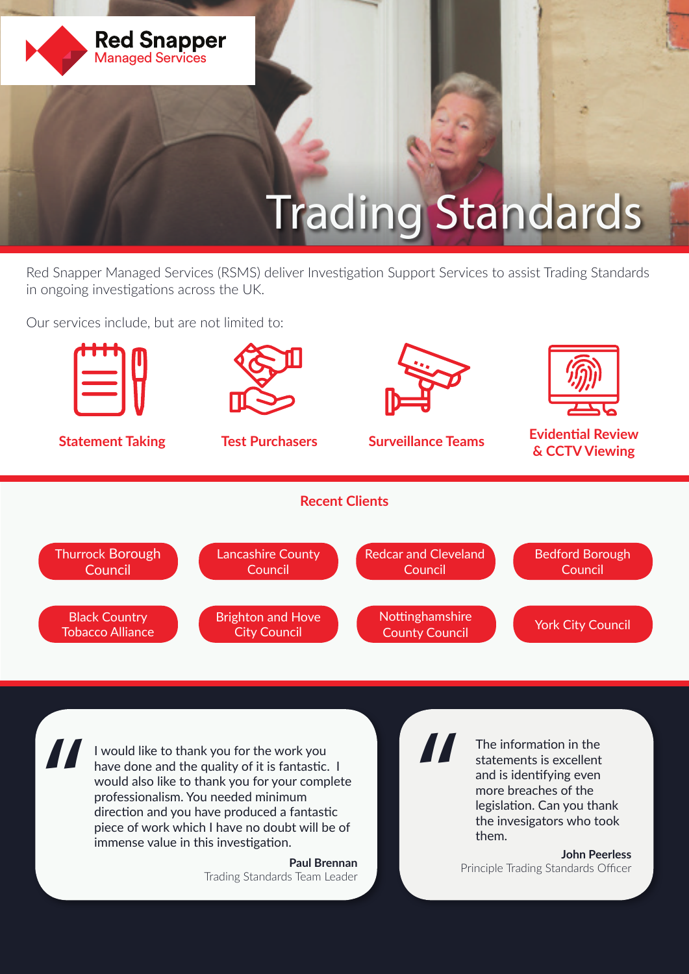

# Trading Standards

Red Snapper Managed Services (RSMS) deliver Investigation Support Services to assist Trading Standards in ongoing investigations across the UK.

Our services include, but are not limited to:



professionalism. You needed minimum direction and you have produced a fantastic piece of work which I have no doubt will be of immense value in this investigation.

> **Paul Brennan**  Trading Standards Team Leader

more breaches of the legislation. Can you thank the invesigators who took them.

**John Peerless**  Principle Trading Standards Officer